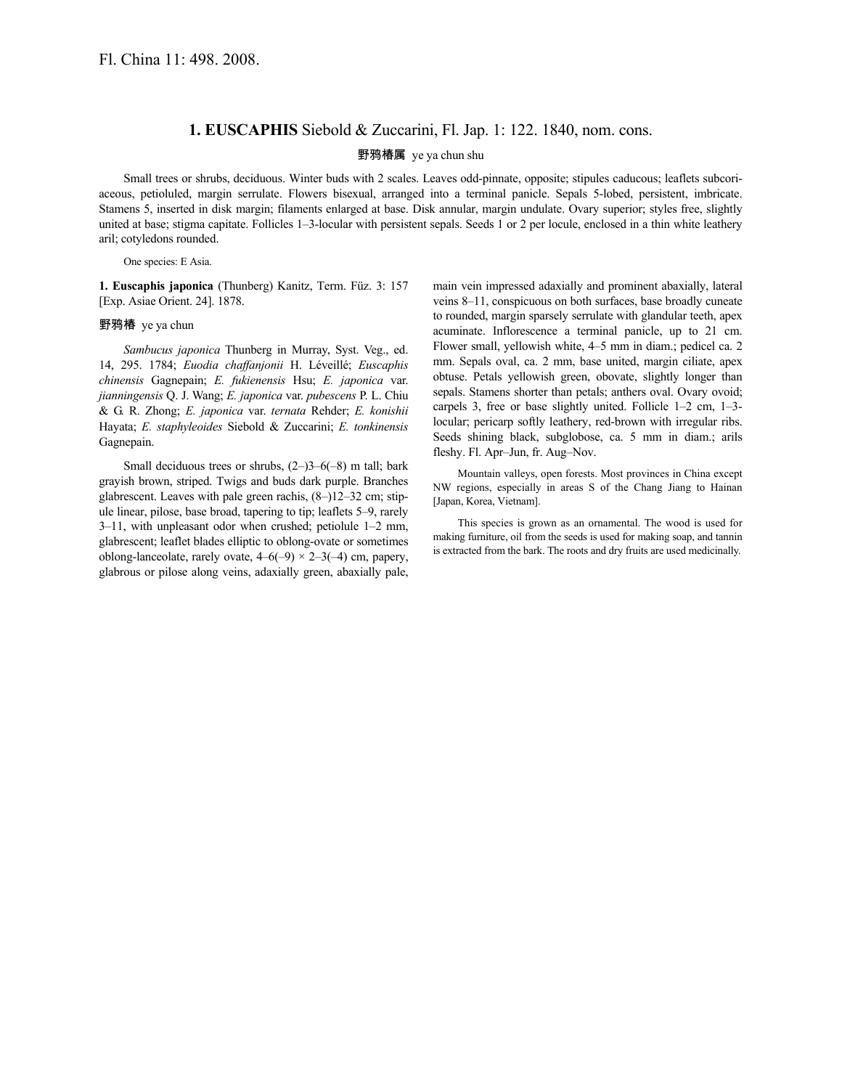## **1. EUSCAPHIS** Siebold & Zuccarini, Fl. Jap. 1: 122. 1840, nom. cons.

## 野鸦椿属 ye ya chun shu

Small trees or shrubs, deciduous. Winter buds with 2 scales. Leaves odd-pinnate, opposite; stipules caducous; leaflets subcoriaceous, petioluled, margin serrulate. Flowers bisexual, arranged into a terminal panicle. Sepals 5-lobed, persistent, imbricate. Stamens 5, inserted in disk margin; filaments enlarged at base. Disk annular, margin undulate. Ovary superior; styles free, slightly united at base; stigma capitate. Follicles 1–3-locular with persistent sepals. Seeds 1 or 2 per locule, enclosed in a thin white leathery aril; cotyledons rounded.

One species: E Asia.

**1. Euscaphis japonica** (Thunberg) Kanitz, Term. Füz. 3: 157 [Exp. Asiae Orient. 24]. 1878.

## 野鸦椿 ye ya chun

*Sambucus japonica* Thunberg in Murray, Syst. Veg., ed. 14, 295. 1784; *Euodia chaffanjonii* H. Léveillé; *Euscaphis chinensis* Gagnepain; *E. fukienensis* Hsu; *E. japonica* var. *jianningensis* Q. J. Wang; *E. japonica* var. *pubescens* P. L. Chiu & G. R. Zhong; *E. japonica* var. *ternata* Rehder; *E. konishii* Hayata; *E. staphyleoides* Siebold & Zuccarini; *E. tonkinensis* Gagnepain.

Small deciduous trees or shrubs, (2–)3–6(–8) m tall; bark grayish brown, striped. Twigs and buds dark purple. Branches glabrescent. Leaves with pale green rachis, (8–)12–32 cm; stipule linear, pilose, base broad, tapering to tip; leaflets 5–9, rarely 3–11, with unpleasant odor when crushed; petiolule 1–2 mm, glabrescent; leaflet blades elliptic to oblong-ovate or sometimes oblong-lanceolate, rarely ovate,  $4-6(-9) \times 2-3(-4)$  cm, papery, glabrous or pilose along veins, adaxially green, abaxially pale,

main vein impressed adaxially and prominent abaxially, lateral veins 8–11, conspicuous on both surfaces, base broadly cuneate to rounded, margin sparsely serrulate with glandular teeth, apex acuminate. Inflorescence a terminal panicle, up to 21 cm. Flower small, yellowish white, 4–5 mm in diam.; pedicel ca. 2 mm. Sepals oval, ca. 2 mm, base united, margin ciliate, apex obtuse. Petals yellowish green, obovate, slightly longer than sepals. Stamens shorter than petals; anthers oval. Ovary ovoid; carpels 3, free or base slightly united. Follicle 1–2 cm, 1–3 locular; pericarp softly leathery, red-brown with irregular ribs. Seeds shining black, subglobose, ca. 5 mm in diam.; arils fleshy. Fl. Apr–Jun, fr. Aug–Nov.

Mountain valleys, open forests. Most provinces in China except NW regions, especially in areas S of the Chang Jiang to Hainan [Japan, Korea, Vietnam].

This species is grown as an ornamental. The wood is used for making furniture, oil from the seeds is used for making soap, and tannin is extracted from the bark. The roots and dry fruits are used medicinally.